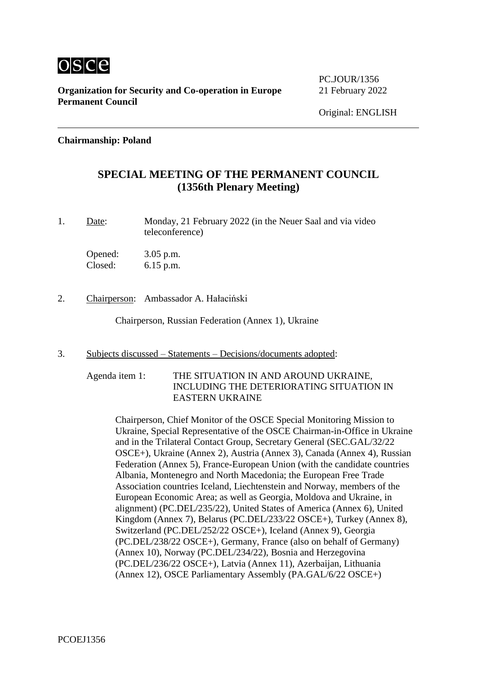

PC.JOUR/1356

### **Chairmanship: Poland**

### **SPECIAL MEETING OF THE PERMANENT COUNCIL (1356th Plenary Meeting)**

1. Date: Monday, 21 February 2022 (in the Neuer Saal and via video teleconference)

Opened: 3.05 p.m. Closed: 6.15 p.m.

2. Chairperson: Ambassador A. Hałaciński

Chairperson, Russian Federation (Annex 1), Ukraine

- 3. Subjects discussed Statements Decisions/documents adopted:
	- Agenda item 1: THE SITUATION IN AND AROUND UKRAINE, INCLUDING THE DETERIORATING SITUATION IN EASTERN UKRAINE

Chairperson, Chief Monitor of the OSCE Special Monitoring Mission to Ukraine, Special Representative of the OSCE Chairman-in-Office in Ukraine and in the Trilateral Contact Group, Secretary General (SEC.GAL/32/22 OSCE+), Ukraine (Annex 2), Austria (Annex 3), Canada (Annex 4), Russian Federation (Annex 5), France-European Union (with the candidate countries Albania, Montenegro and North Macedonia; the European Free Trade Association countries Iceland, Liechtenstein and Norway, members of the European Economic Area; as well as Georgia, Moldova and Ukraine, in alignment) (PC.DEL/235/22), United States of America (Annex 6), United Kingdom (Annex 7), Belarus (PC.DEL/233/22 OSCE+), Turkey (Annex 8), Switzerland (PC.DEL/252/22 OSCE+), Iceland (Annex 9), Georgia (PC.DEL/238/22 OSCE+), Germany, France (also on behalf of Germany) (Annex 10), Norway (PC.DEL/234/22), Bosnia and Herzegovina (PC.DEL/236/22 OSCE+), Latvia (Annex 11), Azerbaijan, Lithuania (Annex 12), OSCE Parliamentary Assembly (PA.GAL/6/22 OSCE+)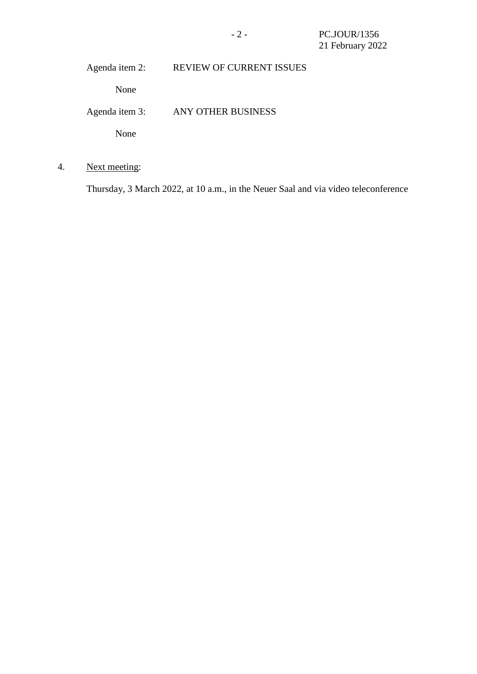Agenda item 2: REVIEW OF CURRENT ISSUES

None

Agenda item 3: ANY OTHER BUSINESS

None

4. Next meeting:

Thursday, 3 March 2022, at 10 a.m., in the Neuer Saal and via video teleconference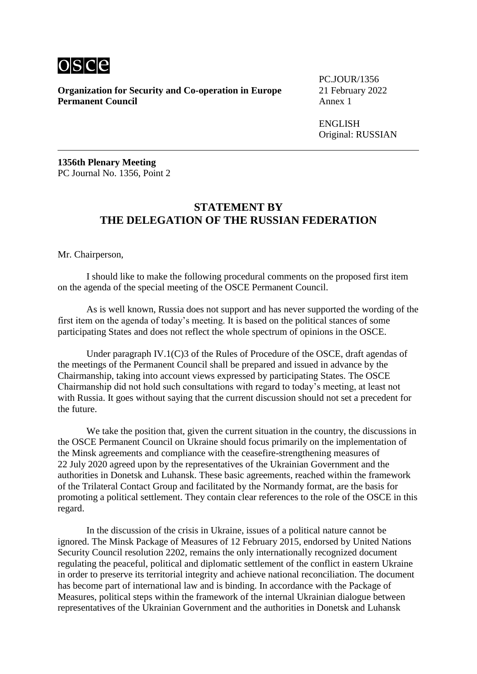

**Organization for Security and Co-operation in Europe** 21 February 2022<br>**Permanent Council** Annex 1 **Permanent Council** 

PC.JOUR/1356

ENGLISH Original: RUSSIAN

**1356th Plenary Meeting** PC Journal No. 1356, Point 2

### **STATEMENT BY THE DELEGATION OF THE RUSSIAN FEDERATION**

Mr. Chairperson,

I should like to make the following procedural comments on the proposed first item on the agenda of the special meeting of the OSCE Permanent Council.

As is well known, Russia does not support and has never supported the wording of the first item on the agenda of today's meeting. It is based on the political stances of some participating States and does not reflect the whole spectrum of opinions in the OSCE.

Under paragraph IV.1(C)3 of the Rules of Procedure of the OSCE, draft agendas of the meetings of the Permanent Council shall be prepared and issued in advance by the Chairmanship, taking into account views expressed by participating States. The OSCE Chairmanship did not hold such consultations with regard to today's meeting, at least not with Russia. It goes without saying that the current discussion should not set a precedent for the future.

We take the position that, given the current situation in the country, the discussions in the OSCE Permanent Council on Ukraine should focus primarily on the implementation of the Minsk agreements and compliance with the ceasefire-strengthening measures of 22 July 2020 agreed upon by the representatives of the Ukrainian Government and the authorities in Donetsk and Luhansk. These basic agreements, reached within the framework of the Trilateral Contact Group and facilitated by the Normandy format, are the basis for promoting a political settlement. They contain clear references to the role of the OSCE in this regard.

In the discussion of the crisis in Ukraine, issues of a political nature cannot be ignored. The Minsk Package of Measures of 12 February 2015, endorsed by United Nations Security Council resolution 2202, remains the only internationally recognized document regulating the peaceful, political and diplomatic settlement of the conflict in eastern Ukraine in order to preserve its territorial integrity and achieve national reconciliation. The document has become part of international law and is binding. In accordance with the Package of Measures, political steps within the framework of the internal Ukrainian dialogue between representatives of the Ukrainian Government and the authorities in Donetsk and Luhansk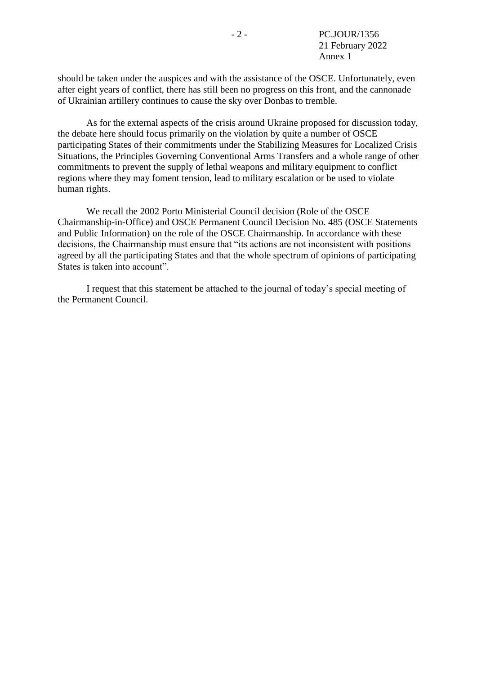should be taken under the auspices and with the assistance of the OSCE. Unfortunately, even after eight years of conflict, there has still been no progress on this front, and the cannonade of Ukrainian artillery continues to cause the sky over Donbas to tremble.

As for the external aspects of the crisis around Ukraine proposed for discussion today, the debate here should focus primarily on the violation by quite a number of OSCE participating States of their commitments under the Stabilizing Measures for Localized Crisis Situations, the Principles Governing Conventional Arms Transfers and a whole range of other commitments to prevent the supply of lethal weapons and military equipment to conflict regions where they may foment tension, lead to military escalation or be used to violate human rights.

We recall the 2002 Porto Ministerial Council decision (Role of the OSCE Chairmanship-in-Office) and OSCE Permanent Council Decision No. 485 (OSCE Statements and Public Information) on the role of the OSCE Chairmanship. In accordance with these decisions, the Chairmanship must ensure that "its actions are not inconsistent with positions agreed by all the participating States and that the whole spectrum of opinions of participating States is taken into account".

I request that this statement be attached to the journal of today's special meeting of the Permanent Council.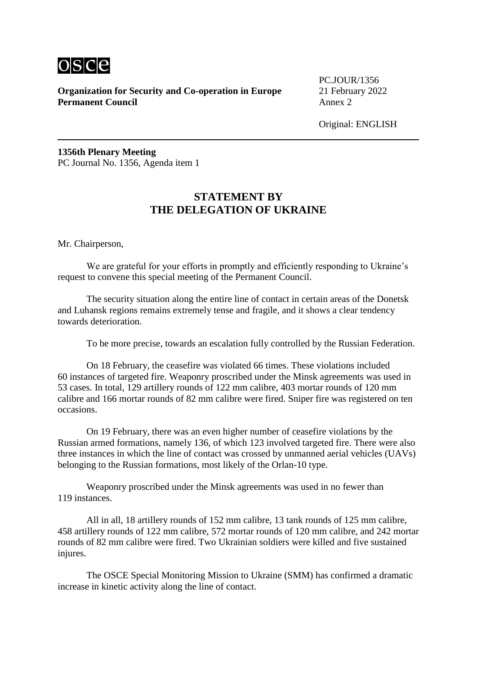

PC.JOUR/1356

Original: ENGLISH

**1356th Plenary Meeting** PC Journal No. 1356, Agenda item 1

# **STATEMENT BY THE DELEGATION OF UKRAINE**

Mr. Chairperson,

We are grateful for your efforts in promptly and efficiently responding to Ukraine's request to convene this special meeting of the Permanent Council.

The security situation along the entire line of contact in certain areas of the Donetsk and Luhansk regions remains extremely tense and fragile, and it shows a clear tendency towards deterioration.

To be more precise, towards an escalation fully controlled by the Russian Federation.

On 18 February, the ceasefire was violated 66 times. These violations included 60 instances of targeted fire. Weaponry proscribed under the Minsk agreements was used in 53 cases. In total, 129 artillery rounds of 122 mm calibre, 403 mortar rounds of 120 mm calibre and 166 mortar rounds of 82 mm calibre were fired. Sniper fire was registered on ten occasions.

On 19 February, there was an even higher number of ceasefire violations by the Russian armed formations, namely 136, of which 123 involved targeted fire. There were also three instances in which the line of contact was crossed by unmanned aerial vehicles (UAVs) belonging to the Russian formations, most likely of the Orlan-10 type.

Weaponry proscribed under the Minsk agreements was used in no fewer than 119 instances.

All in all, 18 artillery rounds of 152 mm calibre, 13 tank rounds of 125 mm calibre, 458 artillery rounds of 122 mm calibre, 572 mortar rounds of 120 mm calibre, and 242 mortar rounds of 82 mm calibre were fired. Two Ukrainian soldiers were killed and five sustained injures.

The OSCE Special Monitoring Mission to Ukraine (SMM) has confirmed a dramatic increase in kinetic activity along the line of contact.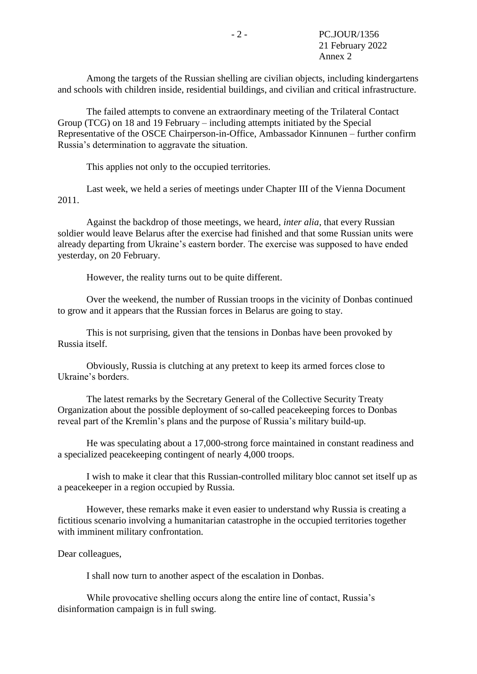Among the targets of the Russian shelling are civilian objects, including kindergartens and schools with children inside, residential buildings, and civilian and critical infrastructure.

The failed attempts to convene an extraordinary meeting of the Trilateral Contact Group (TCG) on 18 and 19 February – including attempts initiated by the Special Representative of the OSCE Chairperson-in-Office, Ambassador Kinnunen – further confirm Russia's determination to aggravate the situation.

This applies not only to the occupied territories.

Last week, we held a series of meetings under Chapter III of the Vienna Document 2011.

Against the backdrop of those meetings, we heard, *inter alia*, that every Russian soldier would leave Belarus after the exercise had finished and that some Russian units were already departing from Ukraine's eastern border. The exercise was supposed to have ended yesterday, on 20 February.

However, the reality turns out to be quite different.

Over the weekend, the number of Russian troops in the vicinity of Donbas continued to grow and it appears that the Russian forces in Belarus are going to stay.

This is not surprising, given that the tensions in Donbas have been provoked by Russia itself.

Obviously, Russia is clutching at any pretext to keep its armed forces close to Ukraine's borders.

The latest remarks by the Secretary General of the Collective Security Treaty Organization about the possible deployment of so-called peacekeeping forces to Donbas reveal part of the Kremlin's plans and the purpose of Russia's military build-up.

He was speculating about a 17,000-strong force maintained in constant readiness and a specialized peacekeeping contingent of nearly 4,000 troops.

I wish to make it clear that this Russian-controlled military bloc cannot set itself up as a peacekeeper in a region occupied by Russia.

However, these remarks make it even easier to understand why Russia is creating a fictitious scenario involving a humanitarian catastrophe in the occupied territories together with imminent military confrontation.

#### Dear colleagues,

I shall now turn to another aspect of the escalation in Donbas.

While provocative shelling occurs along the entire line of contact, Russia's disinformation campaign is in full swing.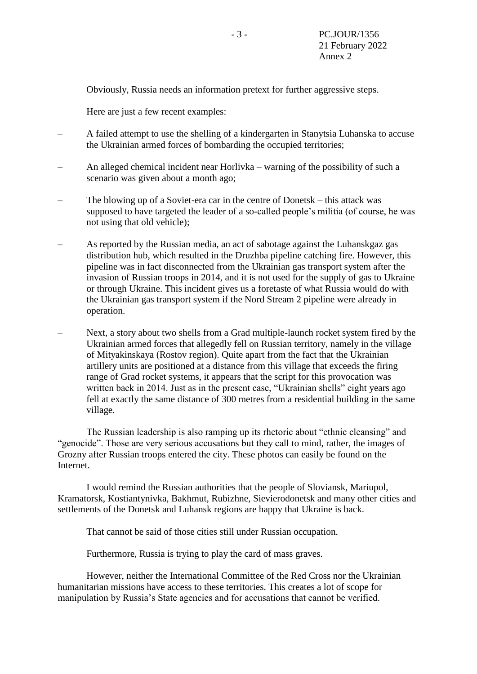Obviously, Russia needs an information pretext for further aggressive steps.

Here are just a few recent examples:

- A failed attempt to use the shelling of a kindergarten in Stanytsia Luhanska to accuse the Ukrainian armed forces of bombarding the occupied territories;
- An alleged chemical incident near Horlivka warning of the possibility of such a scenario was given about a month ago;
- The blowing up of a Soviet-era car in the centre of Donetsk this attack was supposed to have targeted the leader of a so-called people's militia (of course, he was not using that old vehicle);
- As reported by the Russian media, an act of sabotage against the Luhanskgaz gas distribution hub, which resulted in the Druzhba pipeline catching fire. However, this pipeline was in fact disconnected from the Ukrainian gas transport system after the invasion of Russian troops in 2014, and it is not used for the supply of gas to Ukraine or through Ukraine. This incident gives us a foretaste of what Russia would do with the Ukrainian gas transport system if the Nord Stream 2 pipeline were already in operation.
- Next, a story about two shells from a Grad multiple-launch rocket system fired by the Ukrainian armed forces that allegedly fell on Russian territory, namely in the village of Mityakinskaya (Rostov region). Quite apart from the fact that the Ukrainian artillery units are positioned at a distance from this village that exceeds the firing range of Grad rocket systems, it appears that the script for this provocation was written back in 2014. Just as in the present case, "Ukrainian shells" eight years ago fell at exactly the same distance of 300 metres from a residential building in the same village.

The Russian leadership is also ramping up its rhetoric about "ethnic cleansing" and "genocide". Those are very serious accusations but they call to mind, rather, the images of Grozny after Russian troops entered the city. These photos can easily be found on the Internet.

I would remind the Russian authorities that the people of Sloviansk, Mariupol, Kramatorsk, Kostiantynivka, Bakhmut, Rubizhne, Sievierodonetsk and many other cities and settlements of the Donetsk and Luhansk regions are happy that Ukraine is back.

That cannot be said of those cities still under Russian occupation.

Furthermore, Russia is trying to play the card of mass graves.

However, neither the International Committee of the Red Cross nor the Ukrainian humanitarian missions have access to these territories. This creates a lot of scope for manipulation by Russia's State agencies and for accusations that cannot be verified.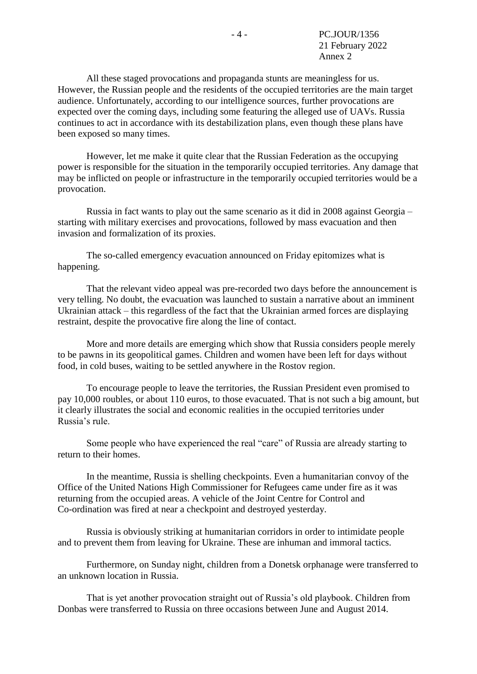All these staged provocations and propaganda stunts are meaningless for us. However, the Russian people and the residents of the occupied territories are the main target audience. Unfortunately, according to our intelligence sources, further provocations are expected over the coming days, including some featuring the alleged use of UAVs. Russia continues to act in accordance with its destabilization plans, even though these plans have been exposed so many times.

However, let me make it quite clear that the Russian Federation as the occupying power is responsible for the situation in the temporarily occupied territories. Any damage that may be inflicted on people or infrastructure in the temporarily occupied territories would be a provocation.

Russia in fact wants to play out the same scenario as it did in 2008 against Georgia – starting with military exercises and provocations, followed by mass evacuation and then invasion and formalization of its proxies.

The so-called emergency evacuation announced on Friday epitomizes what is happening.

That the relevant video appeal was pre-recorded two days before the announcement is very telling. No doubt, the evacuation was launched to sustain a narrative about an imminent Ukrainian attack – this regardless of the fact that the Ukrainian armed forces are displaying restraint, despite the provocative fire along the line of contact.

More and more details are emerging which show that Russia considers people merely to be pawns in its geopolitical games. Children and women have been left for days without food, in cold buses, waiting to be settled anywhere in the Rostov region.

To encourage people to leave the territories, the Russian President even promised to pay 10,000 roubles, or about 110 euros, to those evacuated. That is not such a big amount, but it clearly illustrates the social and economic realities in the occupied territories under Russia's rule.

Some people who have experienced the real "care" of Russia are already starting to return to their homes.

In the meantime, Russia is shelling checkpoints. Even a humanitarian convoy of the Office of the United Nations High Commissioner for Refugees came under fire as it was returning from the occupied areas. A vehicle of the Joint Centre for Control and Co-ordination was fired at near a checkpoint and destroyed yesterday.

Russia is obviously striking at humanitarian corridors in order to intimidate people and to prevent them from leaving for Ukraine. These are inhuman and immoral tactics.

Furthermore, on Sunday night, children from a Donetsk orphanage were transferred to an unknown location in Russia.

That is yet another provocation straight out of Russia's old playbook. Children from Donbas were transferred to Russia on three occasions between June and August 2014.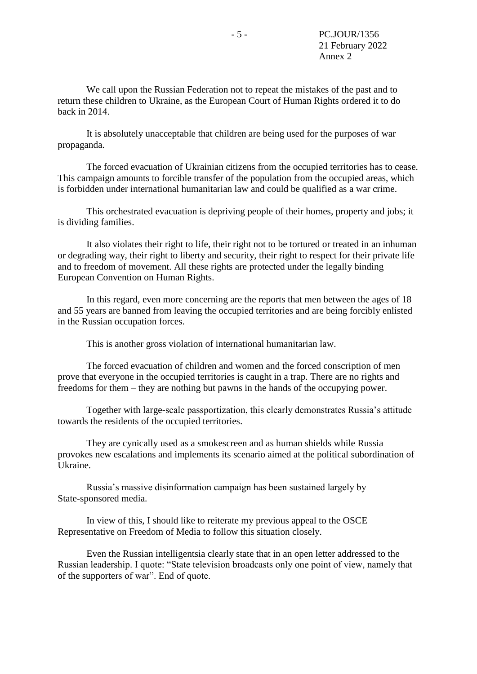We call upon the Russian Federation not to repeat the mistakes of the past and to return these children to Ukraine, as the European Court of Human Rights ordered it to do back in 2014.

It is absolutely unacceptable that children are being used for the purposes of war propaganda.

The forced evacuation of Ukrainian citizens from the occupied territories has to cease. This campaign amounts to forcible transfer of the population from the occupied areas, which is forbidden under international humanitarian law and could be qualified as a war crime.

This orchestrated evacuation is depriving people of their homes, property and jobs; it is dividing families.

It also violates their right to life, their right not to be tortured or treated in an inhuman or degrading way, their right to liberty and security, their right to respect for their private life and to freedom of movement. All these rights are protected under the legally binding European Convention on Human Rights.

In this regard, even more concerning are the reports that men between the ages of 18 and 55 years are banned from leaving the occupied territories and are being forcibly enlisted in the Russian occupation forces.

This is another gross violation of international humanitarian law.

The forced evacuation of children and women and the forced conscription of men prove that everyone in the occupied territories is caught in a trap. There are no rights and freedoms for them – they are nothing but pawns in the hands of the occupying power.

Together with large-scale passportization, this clearly demonstrates Russia's attitude towards the residents of the occupied territories.

They are cynically used as a smokescreen and as human shields while Russia provokes new escalations and implements its scenario aimed at the political subordination of Ukraine.

Russia's massive disinformation campaign has been sustained largely by State-sponsored media.

In view of this, I should like to reiterate my previous appeal to the OSCE Representative on Freedom of Media to follow this situation closely.

Even the Russian intelligentsia clearly state that in an open letter addressed to the Russian leadership. I quote: "State television broadcasts only one point of view, namely that of the supporters of war". End of quote.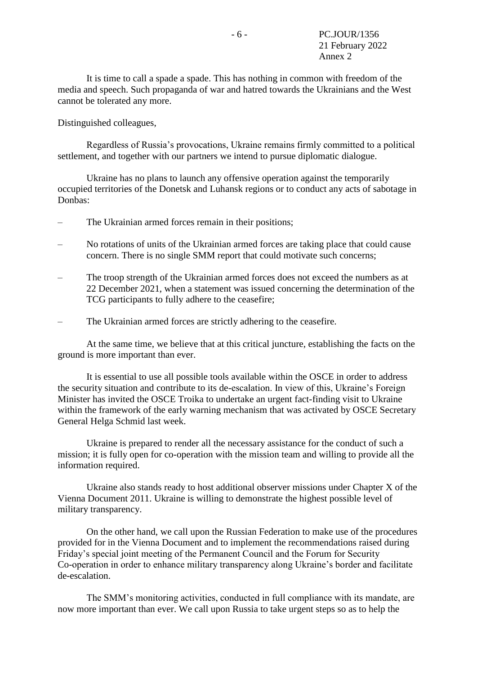It is time to call a spade a spade. This has nothing in common with freedom of the media and speech. Such propaganda of war and hatred towards the Ukrainians and the West cannot be tolerated any more.

Distinguished colleagues,

Regardless of Russia's provocations, Ukraine remains firmly committed to a political settlement, and together with our partners we intend to pursue diplomatic dialogue.

Ukraine has no plans to launch any offensive operation against the temporarily occupied territories of the Donetsk and Luhansk regions or to conduct any acts of sabotage in Donbas:

- The Ukrainian armed forces remain in their positions;
- No rotations of units of the Ukrainian armed forces are taking place that could cause concern. There is no single SMM report that could motivate such concerns;
- The troop strength of the Ukrainian armed forces does not exceed the numbers as at 22 December 2021, when a statement was issued concerning the determination of the TCG participants to fully adhere to the ceasefire;
- The Ukrainian armed forces are strictly adhering to the ceasefire.

At the same time, we believe that at this critical juncture, establishing the facts on the ground is more important than ever.

It is essential to use all possible tools available within the OSCE in order to address the security situation and contribute to its de-escalation. In view of this, Ukraine's Foreign Minister has invited the OSCE Troika to undertake an urgent fact-finding visit to Ukraine within the framework of the early warning mechanism that was activated by OSCE Secretary General Helga Schmid last week.

Ukraine is prepared to render all the necessary assistance for the conduct of such a mission; it is fully open for co-operation with the mission team and willing to provide all the information required.

Ukraine also stands ready to host additional observer missions under Chapter X of the Vienna Document 2011. Ukraine is willing to demonstrate the highest possible level of military transparency.

On the other hand, we call upon the Russian Federation to make use of the procedures provided for in the Vienna Document and to implement the recommendations raised during Friday's special joint meeting of the Permanent Council and the Forum for Security Co-operation in order to enhance military transparency along Ukraine's border and facilitate de-escalation.

The SMM's monitoring activities, conducted in full compliance with its mandate, are now more important than ever. We call upon Russia to take urgent steps so as to help the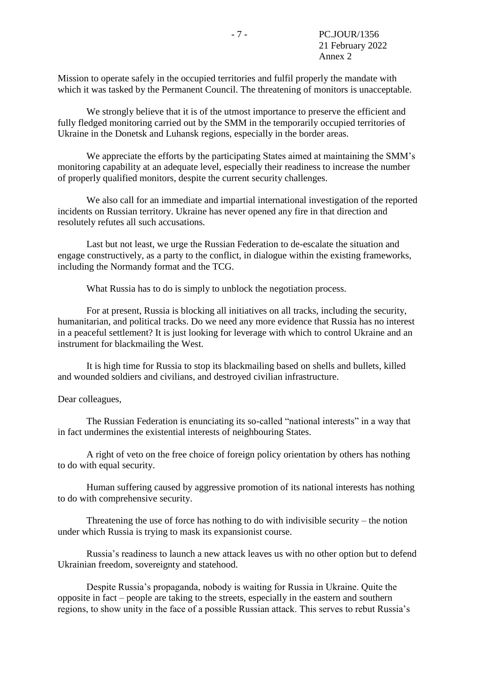Mission to operate safely in the occupied territories and fulfil properly the mandate with which it was tasked by the Permanent Council. The threatening of monitors is unacceptable.

We strongly believe that it is of the utmost importance to preserve the efficient and fully fledged monitoring carried out by the SMM in the temporarily occupied territories of Ukraine in the Donetsk and Luhansk regions, especially in the border areas.

We appreciate the efforts by the participating States aimed at maintaining the SMM's monitoring capability at an adequate level, especially their readiness to increase the number of properly qualified monitors, despite the current security challenges.

We also call for an immediate and impartial international investigation of the reported incidents on Russian territory. Ukraine has never opened any fire in that direction and resolutely refutes all such accusations.

Last but not least, we urge the Russian Federation to de-escalate the situation and engage constructively, as a party to the conflict, in dialogue within the existing frameworks, including the Normandy format and the TCG.

What Russia has to do is simply to unblock the negotiation process.

For at present, Russia is blocking all initiatives on all tracks, including the security, humanitarian, and political tracks. Do we need any more evidence that Russia has no interest in a peaceful settlement? It is just looking for leverage with which to control Ukraine and an instrument for blackmailing the West.

It is high time for Russia to stop its blackmailing based on shells and bullets, killed and wounded soldiers and civilians, and destroyed civilian infrastructure.

### Dear colleagues,

The Russian Federation is enunciating its so-called "national interests" in a way that in fact undermines the existential interests of neighbouring States.

A right of veto on the free choice of foreign policy orientation by others has nothing to do with equal security.

Human suffering caused by aggressive promotion of its national interests has nothing to do with comprehensive security.

Threatening the use of force has nothing to do with indivisible security – the notion under which Russia is trying to mask its expansionist course.

Russia's readiness to launch a new attack leaves us with no other option but to defend Ukrainian freedom, sovereignty and statehood.

Despite Russia's propaganda, nobody is waiting for Russia in Ukraine. Quite the opposite in fact – people are taking to the streets, especially in the eastern and southern regions, to show unity in the face of a possible Russian attack. This serves to rebut Russia's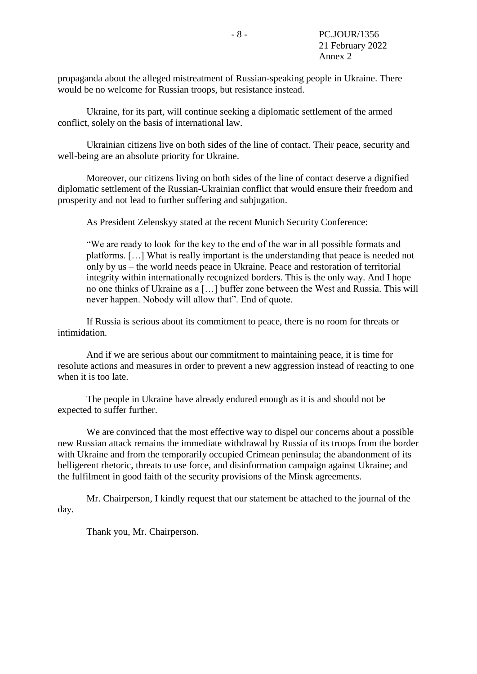propaganda about the alleged mistreatment of Russian-speaking people in Ukraine. There would be no welcome for Russian troops, but resistance instead.

Ukraine, for its part, will continue seeking a diplomatic settlement of the armed conflict, solely on the basis of international law.

Ukrainian citizens live on both sides of the line of contact. Their peace, security and well-being are an absolute priority for Ukraine.

Moreover, our citizens living on both sides of the line of contact deserve a dignified diplomatic settlement of the Russian-Ukrainian conflict that would ensure their freedom and prosperity and not lead to further suffering and subjugation.

As President Zelenskyy stated at the recent Munich Security Conference:

"We are ready to look for the key to the end of the war in all possible formats and platforms. […] What is really important is the understanding that peace is needed not only by us – the world needs peace in Ukraine. Peace and restoration of territorial integrity within internationally recognized borders. This is the only way. And I hope no one thinks of Ukraine as a […] buffer zone between the West and Russia. This will never happen. Nobody will allow that". End of quote.

If Russia is serious about its commitment to peace, there is no room for threats or intimidation.

And if we are serious about our commitment to maintaining peace, it is time for resolute actions and measures in order to prevent a new aggression instead of reacting to one when it is too late.

The people in Ukraine have already endured enough as it is and should not be expected to suffer further.

We are convinced that the most effective way to dispel our concerns about a possible new Russian attack remains the immediate withdrawal by Russia of its troops from the border with Ukraine and from the temporarily occupied Crimean peninsula; the abandonment of its belligerent rhetoric, threats to use force, and disinformation campaign against Ukraine; and the fulfilment in good faith of the security provisions of the Minsk agreements.

Mr. Chairperson, I kindly request that our statement be attached to the journal of the day.

Thank you, Mr. Chairperson.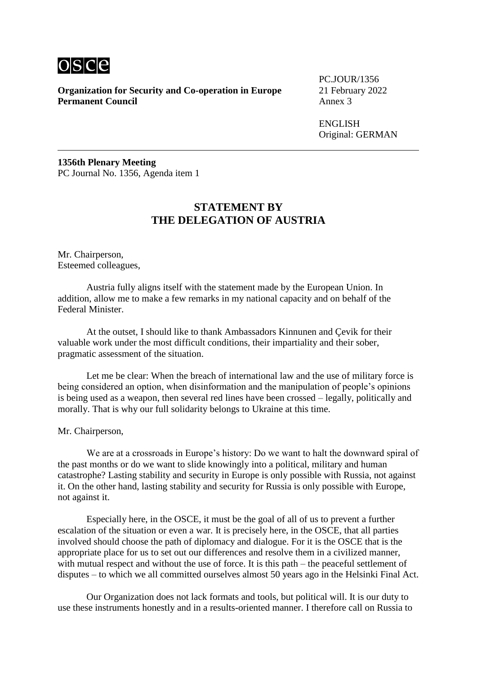

PC.JOUR/1356

ENGLISH Original: GERMAN

**1356th Plenary Meeting** PC Journal No. 1356, Agenda item 1

### **STATEMENT BY THE DELEGATION OF AUSTRIA**

Mr. Chairperson, Esteemed colleagues,

Austria fully aligns itself with the statement made by the European Union. In addition, allow me to make a few remarks in my national capacity and on behalf of the Federal Minister.

At the outset, I should like to thank Ambassadors Kinnunen and Çevik for their valuable work under the most difficult conditions, their impartiality and their sober, pragmatic assessment of the situation.

Let me be clear: When the breach of international law and the use of military force is being considered an option, when disinformation and the manipulation of people's opinions is being used as a weapon, then several red lines have been crossed – legally, politically and morally. That is why our full solidarity belongs to Ukraine at this time.

Mr. Chairperson,

We are at a crossroads in Europe's history: Do we want to halt the downward spiral of the past months or do we want to slide knowingly into a political, military and human catastrophe? Lasting stability and security in Europe is only possible with Russia, not against it. On the other hand, lasting stability and security for Russia is only possible with Europe, not against it.

Especially here, in the OSCE, it must be the goal of all of us to prevent a further escalation of the situation or even a war. It is precisely here, in the OSCE, that all parties involved should choose the path of diplomacy and dialogue. For it is the OSCE that is the appropriate place for us to set out our differences and resolve them in a civilized manner, with mutual respect and without the use of force. It is this path – the peaceful settlement of disputes – to which we all committed ourselves almost 50 years ago in the Helsinki Final Act.

Our Organization does not lack formats and tools, but political will. It is our duty to use these instruments honestly and in a results-oriented manner. I therefore call on Russia to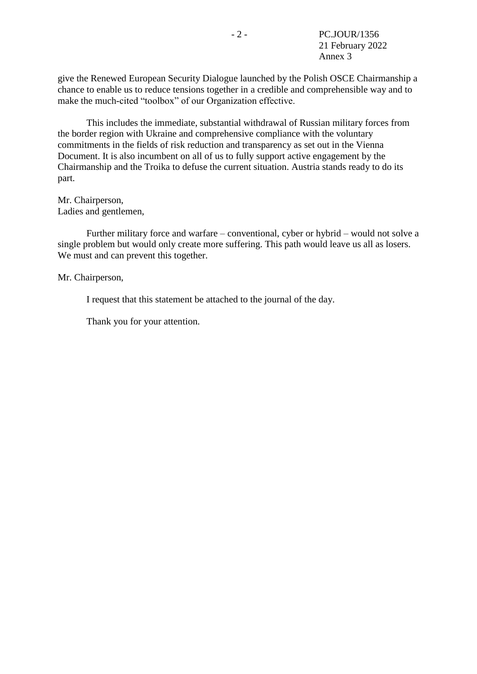give the Renewed European Security Dialogue launched by the Polish OSCE Chairmanship a chance to enable us to reduce tensions together in a credible and comprehensible way and to make the much-cited "toolbox" of our Organization effective.

This includes the immediate, substantial withdrawal of Russian military forces from the border region with Ukraine and comprehensive compliance with the voluntary commitments in the fields of risk reduction and transparency as set out in the Vienna Document. It is also incumbent on all of us to fully support active engagement by the Chairmanship and the Troika to defuse the current situation. Austria stands ready to do its part.

Mr. Chairperson, Ladies and gentlemen,

Further military force and warfare – conventional, cyber or hybrid – would not solve a single problem but would only create more suffering. This path would leave us all as losers. We must and can prevent this together.

Mr. Chairperson,

I request that this statement be attached to the journal of the day.

Thank you for your attention.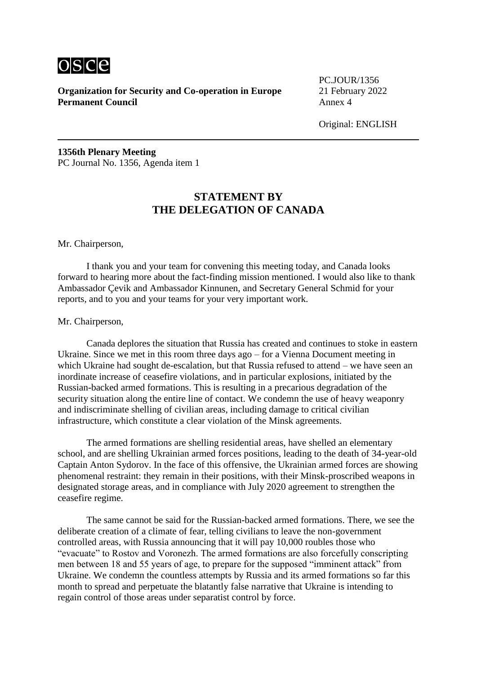

PC.JOUR/1356

Original: ENGLISH

**1356th Plenary Meeting** PC Journal No. 1356, Agenda item 1

# **STATEMENT BY THE DELEGATION OF CANADA**

#### Mr. Chairperson,

I thank you and your team for convening this meeting today, and Canada looks forward to hearing more about the fact-finding mission mentioned. I would also like to thank Ambassador Çevik and Ambassador Kinnunen, and Secretary General Schmid for your reports, and to you and your teams for your very important work.

#### Mr. Chairperson,

Canada deplores the situation that Russia has created and continues to stoke in eastern Ukraine. Since we met in this room three days ago – for a Vienna Document meeting in which Ukraine had sought de-escalation, but that Russia refused to attend – we have seen an inordinate increase of ceasefire violations, and in particular explosions, initiated by the Russian-backed armed formations. This is resulting in a precarious degradation of the security situation along the entire line of contact. We condemn the use of heavy weaponry and indiscriminate shelling of civilian areas, including damage to critical civilian infrastructure, which constitute a clear violation of the Minsk agreements.

The armed formations are shelling residential areas, have shelled an elementary school, and are shelling Ukrainian armed forces positions, leading to the death of 34-year-old Captain Anton Sydorov. In the face of this offensive, the Ukrainian armed forces are showing phenomenal restraint: they remain in their positions, with their Minsk-proscribed weapons in designated storage areas, and in compliance with July 2020 agreement to strengthen the ceasefire regime.

The same cannot be said for the Russian-backed armed formations. There, we see the deliberate creation of a climate of fear, telling civilians to leave the non-government controlled areas, with Russia announcing that it will pay 10,000 roubles those who "evacuate" to Rostov and Voronezh. The armed formations are also forcefully conscripting men between 18 and 55 years of age, to prepare for the supposed "imminent attack" from Ukraine. We condemn the countless attempts by Russia and its armed formations so far this month to spread and perpetuate the blatantly false narrative that Ukraine is intending to regain control of those areas under separatist control by force.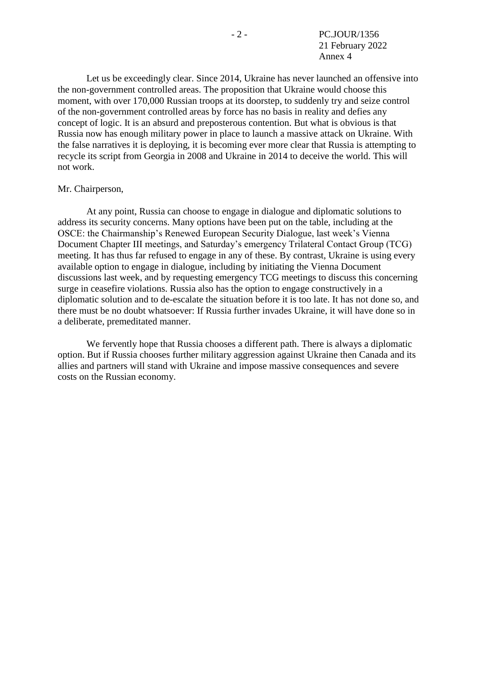Let us be exceedingly clear. Since 2014, Ukraine has never launched an offensive into the non-government controlled areas. The proposition that Ukraine would choose this moment, with over 170,000 Russian troops at its doorstep, to suddenly try and seize control of the non-government controlled areas by force has no basis in reality and defies any concept of logic. It is an absurd and preposterous contention. But what is obvious is that Russia now has enough military power in place to launch a massive attack on Ukraine. With the false narratives it is deploying, it is becoming ever more clear that Russia is attempting to recycle its script from Georgia in 2008 and Ukraine in 2014 to deceive the world. This will not work.

#### Mr. Chairperson,

At any point, Russia can choose to engage in dialogue and diplomatic solutions to address its security concerns. Many options have been put on the table, including at the OSCE: the Chairmanship's Renewed European Security Dialogue, last week's Vienna Document Chapter III meetings, and Saturday's emergency Trilateral Contact Group (TCG) meeting. It has thus far refused to engage in any of these. By contrast, Ukraine is using every available option to engage in dialogue, including by initiating the Vienna Document discussions last week, and by requesting emergency TCG meetings to discuss this concerning surge in ceasefire violations. Russia also has the option to engage constructively in a diplomatic solution and to de-escalate the situation before it is too late. It has not done so, and there must be no doubt whatsoever: If Russia further invades Ukraine, it will have done so in a deliberate, premeditated manner.

We fervently hope that Russia chooses a different path. There is always a diplomatic option. But if Russia chooses further military aggression against Ukraine then Canada and its allies and partners will stand with Ukraine and impose massive consequences and severe costs on the Russian economy.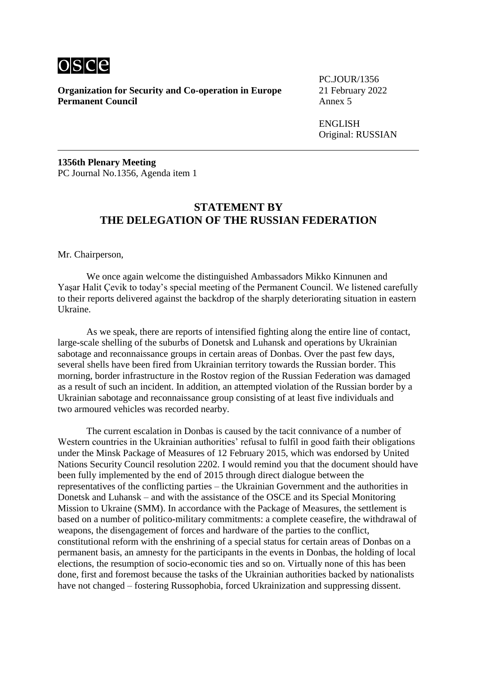

PC.JOUR/1356

ENGLISH Original: RUSSIAN

**1356th Plenary Meeting** PC Journal No.1356, Agenda item 1

### **STATEMENT BY THE DELEGATION OF THE RUSSIAN FEDERATION**

Mr. Chairperson,

We once again welcome the distinguished Ambassadors Mikko Kinnunen and Yaşar Halit Çevik to today's special meeting of the Permanent Council. We listened carefully to their reports delivered against the backdrop of the sharply deteriorating situation in eastern Ukraine.

As we speak, there are reports of intensified fighting along the entire line of contact, large-scale shelling of the suburbs of Donetsk and Luhansk and operations by Ukrainian sabotage and reconnaissance groups in certain areas of Donbas. Over the past few days, several shells have been fired from Ukrainian territory towards the Russian border. This morning, border infrastructure in the Rostov region of the Russian Federation was damaged as a result of such an incident. In addition, an attempted violation of the Russian border by a Ukrainian sabotage and reconnaissance group consisting of at least five individuals and two armoured vehicles was recorded nearby.

The current escalation in Donbas is caused by the tacit connivance of a number of Western countries in the Ukrainian authorities' refusal to fulfil in good faith their obligations under the Minsk Package of Measures of 12 February 2015, which was endorsed by United Nations Security Council resolution 2202. I would remind you that the document should have been fully implemented by the end of 2015 through direct dialogue between the representatives of the conflicting parties – the Ukrainian Government and the authorities in Donetsk and Luhansk – and with the assistance of the OSCE and its Special Monitoring Mission to Ukraine (SMM). In accordance with the Package of Measures, the settlement is based on a number of politico-military commitments: a complete ceasefire, the withdrawal of weapons, the disengagement of forces and hardware of the parties to the conflict, constitutional reform with the enshrining of a special status for certain areas of Donbas on a permanent basis, an amnesty for the participants in the events in Donbas, the holding of local elections, the resumption of socio-economic ties and so on. Virtually none of this has been done, first and foremost because the tasks of the Ukrainian authorities backed by nationalists have not changed – fostering Russophobia, forced Ukrainization and suppressing dissent.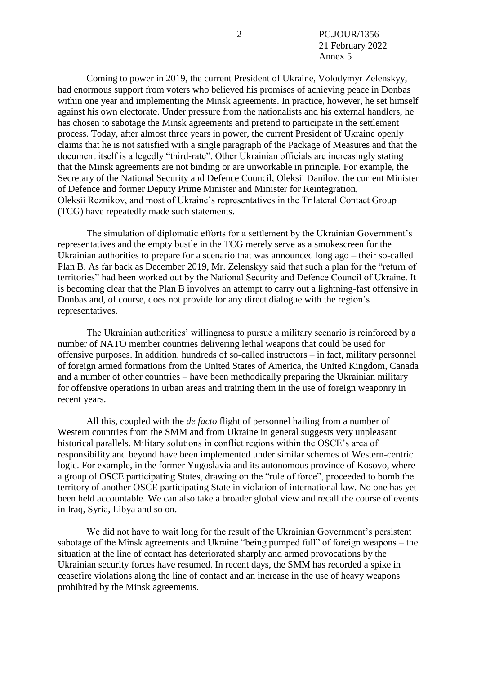Coming to power in 2019, the current President of Ukraine, Volodymyr Zelenskyy, had enormous support from voters who believed his promises of achieving peace in Donbas within one year and implementing the Minsk agreements. In practice, however, he set himself against his own electorate. Under pressure from the nationalists and his external handlers, he has chosen to sabotage the Minsk agreements and pretend to participate in the settlement process. Today, after almost three years in power, the current President of Ukraine openly claims that he is not satisfied with a single paragraph of the Package of Measures and that the document itself is allegedly "third-rate". Other Ukrainian officials are increasingly stating that the Minsk agreements are not binding or are unworkable in principle. For example, the Secretary of the National Security and Defence Council, Oleksii Danilov, the current Minister of Defence and former Deputy Prime Minister and Minister for Reintegration, Oleksii Reznikov, and most of Ukraine's representatives in the Trilateral Contact Group (TCG) have repeatedly made such statements.

The simulation of diplomatic efforts for a settlement by the Ukrainian Government's representatives and the empty bustle in the TCG merely serve as a smokescreen for the Ukrainian authorities to prepare for a scenario that was announced long ago – their so-called Plan B. As far back as December 2019, Mr. Zelenskyy said that such a plan for the "return of territories" had been worked out by the National Security and Defence Council of Ukraine. It is becoming clear that the Plan B involves an attempt to carry out a lightning-fast offensive in Donbas and, of course, does not provide for any direct dialogue with the region's representatives.

The Ukrainian authorities' willingness to pursue a military scenario is reinforced by a number of NATO member countries delivering lethal weapons that could be used for offensive purposes. In addition, hundreds of so-called instructors – in fact, military personnel of foreign armed formations from the United States of America, the United Kingdom, Canada and a number of other countries – have been methodically preparing the Ukrainian military for offensive operations in urban areas and training them in the use of foreign weaponry in recent years.

All this, coupled with the *de facto* flight of personnel hailing from a number of Western countries from the SMM and from Ukraine in general suggests very unpleasant historical parallels. Military solutions in conflict regions within the OSCE's area of responsibility and beyond have been implemented under similar schemes of Western-centric logic. For example, in the former Yugoslavia and its autonomous province of Kosovo, where a group of OSCE participating States, drawing on the "rule of force", proceeded to bomb the territory of another OSCE participating State in violation of international law. No one has yet been held accountable. We can also take a broader global view and recall the course of events in Iraq, Syria, Libya and so on.

We did not have to wait long for the result of the Ukrainian Government's persistent sabotage of the Minsk agreements and Ukraine "being pumped full" of foreign weapons – the situation at the line of contact has deteriorated sharply and armed provocations by the Ukrainian security forces have resumed. In recent days, the SMM has recorded a spike in ceasefire violations along the line of contact and an increase in the use of heavy weapons prohibited by the Minsk agreements.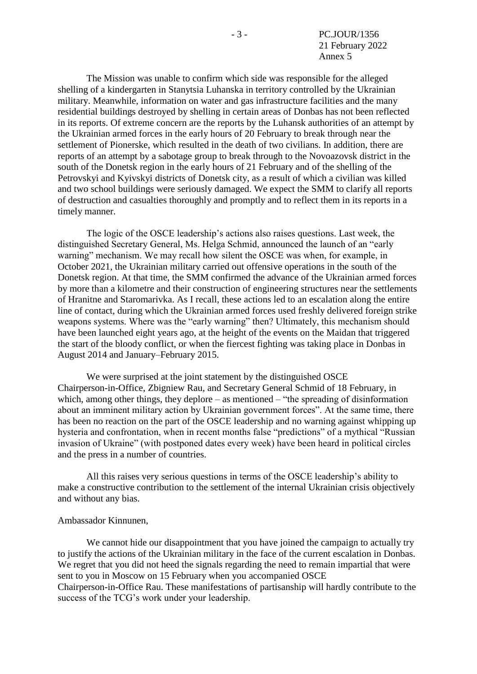The Mission was unable to confirm which side was responsible for the alleged shelling of a kindergarten in Stanytsia Luhanska in territory controlled by the Ukrainian military. Meanwhile, information on water and gas infrastructure facilities and the many residential buildings destroyed by shelling in certain areas of Donbas has not been reflected in its reports. Of extreme concern are the reports by the Luhansk authorities of an attempt by the Ukrainian armed forces in the early hours of 20 February to break through near the settlement of Pionerske, which resulted in the death of two civilians. In addition, there are reports of an attempt by a sabotage group to break through to the Novoazovsk district in the south of the Donetsk region in the early hours of 21 February and of the shelling of the Petrovskyi and Kyivskyi districts of Donetsk city, as a result of which a civilian was killed and two school buildings were seriously damaged. We expect the SMM to clarify all reports of destruction and casualties thoroughly and promptly and to reflect them in its reports in a timely manner.

The logic of the OSCE leadership's actions also raises questions. Last week, the distinguished Secretary General, Ms. Helga Schmid, announced the launch of an "early warning" mechanism. We may recall how silent the OSCE was when, for example, in October 2021, the Ukrainian military carried out offensive operations in the south of the Donetsk region. At that time, the SMM confirmed the advance of the Ukrainian armed forces by more than a kilometre and their construction of engineering structures near the settlements of Hranitne and Staromarivka. As I recall, these actions led to an escalation along the entire line of contact, during which the Ukrainian armed forces used freshly delivered foreign strike weapons systems. Where was the "early warning" then? Ultimately, this mechanism should have been launched eight years ago, at the height of the events on the Maidan that triggered the start of the bloody conflict, or when the fiercest fighting was taking place in Donbas in August 2014 and January–February 2015.

We were surprised at the joint statement by the distinguished OSCE Chairperson-in-Office, Zbigniew Rau, and Secretary General Schmid of 18 February, in which, among other things, they deplore – as mentioned – "the spreading of disinformation about an imminent military action by Ukrainian government forces". At the same time, there has been no reaction on the part of the OSCE leadership and no warning against whipping up hysteria and confrontation, when in recent months false "predictions" of a mythical "Russian invasion of Ukraine" (with postponed dates every week) have been heard in political circles and the press in a number of countries.

All this raises very serious questions in terms of the OSCE leadership's ability to make a constructive contribution to the settlement of the internal Ukrainian crisis objectively and without any bias.

#### Ambassador Kinnunen,

We cannot hide our disappointment that you have joined the campaign to actually try to justify the actions of the Ukrainian military in the face of the current escalation in Donbas. We regret that you did not heed the signals regarding the need to remain impartial that were sent to you in Moscow on 15 February when you accompanied OSCE Chairperson-in-Office Rau. These manifestations of partisanship will hardly contribute to the success of the TCG's work under your leadership.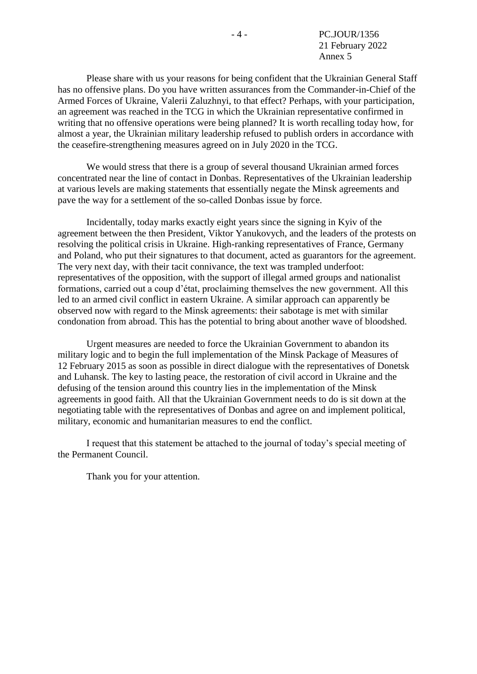Please share with us your reasons for being confident that the Ukrainian General Staff has no offensive plans. Do you have written assurances from the Commander-in-Chief of the Armed Forces of Ukraine, Valerii Zaluzhnyi, to that effect? Perhaps, with your participation, an agreement was reached in the TCG in which the Ukrainian representative confirmed in writing that no offensive operations were being planned? It is worth recalling today how, for almost a year, the Ukrainian military leadership refused to publish orders in accordance with the ceasefire-strengthening measures agreed on in July 2020 in the TCG.

We would stress that there is a group of several thousand Ukrainian armed forces concentrated near the line of contact in Donbas. Representatives of the Ukrainian leadership at various levels are making statements that essentially negate the Minsk agreements and pave the way for a settlement of the so-called Donbas issue by force.

Incidentally, today marks exactly eight years since the signing in Kyiv of the agreement between the then President, Viktor Yanukovych, and the leaders of the protests on resolving the political crisis in Ukraine. High-ranking representatives of France, Germany and Poland, who put their signatures to that document, acted as guarantors for the agreement. The very next day, with their tacit connivance, the text was trampled underfoot: representatives of the opposition, with the support of illegal armed groups and nationalist formations, carried out a coup d'état, proclaiming themselves the new government. All this led to an armed civil conflict in eastern Ukraine. A similar approach can apparently be observed now with regard to the Minsk agreements: their sabotage is met with similar condonation from abroad. This has the potential to bring about another wave of bloodshed.

Urgent measures are needed to force the Ukrainian Government to abandon its military logic and to begin the full implementation of the Minsk Package of Measures of 12 February 2015 as soon as possible in direct dialogue with the representatives of Donetsk and Luhansk. The key to lasting peace, the restoration of civil accord in Ukraine and the defusing of the tension around this country lies in the implementation of the Minsk agreements in good faith. All that the Ukrainian Government needs to do is sit down at the negotiating table with the representatives of Donbas and agree on and implement political, military, economic and humanitarian measures to end the conflict.

I request that this statement be attached to the journal of today's special meeting of the Permanent Council.

Thank you for your attention.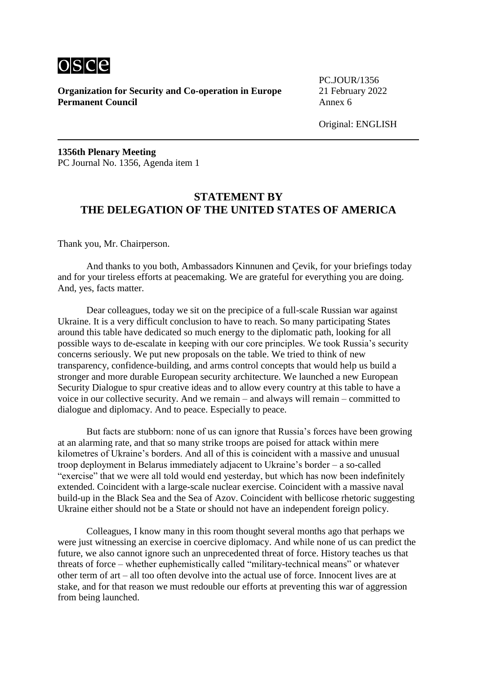

PC.JOUR/1356

**1356th Plenary Meeting** PC Journal No. 1356, Agenda item 1

# **STATEMENT BY THE DELEGATION OF THE UNITED STATES OF AMERICA**

Thank you, Mr. Chairperson.

And thanks to you both, Ambassadors Kinnunen and Çevik, for your briefings today and for your tireless efforts at peacemaking. We are grateful for everything you are doing. And, yes, facts matter.

Dear colleagues, today we sit on the precipice of a full-scale Russian war against Ukraine. It is a very difficult conclusion to have to reach. So many participating States around this table have dedicated so much energy to the diplomatic path, looking for all possible ways to de-escalate in keeping with our core principles. We took Russia's security concerns seriously. We put new proposals on the table. We tried to think of new transparency, confidence-building, and arms control concepts that would help us build a stronger and more durable European security architecture. We launched a new European Security Dialogue to spur creative ideas and to allow every country at this table to have a voice in our collective security. And we remain – and always will remain – committed to dialogue and diplomacy. And to peace. Especially to peace.

But facts are stubborn: none of us can ignore that Russia's forces have been growing at an alarming rate, and that so many strike troops are poised for attack within mere kilometres of Ukraine's borders. And all of this is coincident with a massive and unusual troop deployment in Belarus immediately adjacent to Ukraine's border – a so-called "exercise" that we were all told would end yesterday, but which has now been indefinitely extended. Coincident with a large-scale nuclear exercise. Coincident with a massive naval build-up in the Black Sea and the Sea of Azov. Coincident with bellicose rhetoric suggesting Ukraine either should not be a State or should not have an independent foreign policy.

Colleagues, I know many in this room thought several months ago that perhaps we were just witnessing an exercise in coercive diplomacy. And while none of us can predict the future, we also cannot ignore such an unprecedented threat of force. History teaches us that threats of force – whether euphemistically called "military-technical means" or whatever other term of art – all too often devolve into the actual use of force. Innocent lives are at stake, and for that reason we must redouble our efforts at preventing this war of aggression from being launched.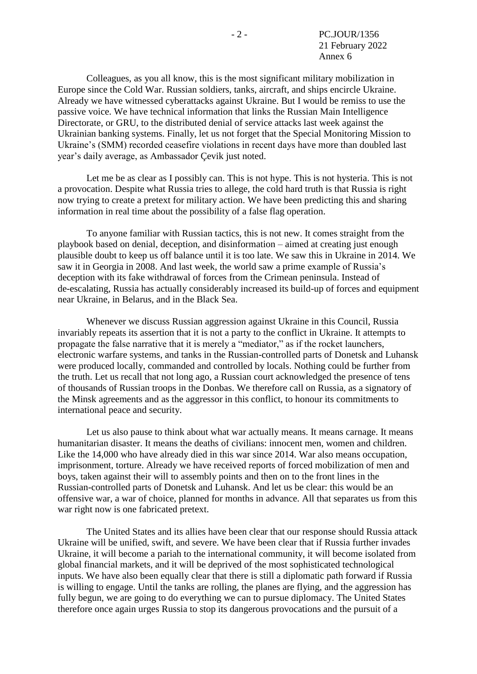Colleagues, as you all know, this is the most significant military mobilization in Europe since the Cold War. Russian soldiers, tanks, aircraft, and ships encircle Ukraine. Already we have witnessed cyberattacks against Ukraine. But I would be remiss to use the passive voice. We have technical information that links the Russian Main Intelligence Directorate, or GRU, to the distributed denial of service attacks last week against the Ukrainian banking systems. Finally, let us not forget that the Special Monitoring Mission to Ukraine's (SMM) recorded ceasefire violations in recent days have more than doubled last year's daily average, as Ambassador Çevik just noted.

Let me be as clear as I possibly can. This is not hype. This is not hysteria. This is not a provocation. Despite what Russia tries to allege, the cold hard truth is that Russia is right now trying to create a pretext for military action. We have been predicting this and sharing information in real time about the possibility of a false flag operation.

To anyone familiar with Russian tactics, this is not new. It comes straight from the playbook based on denial, deception, and disinformation – aimed at creating just enough plausible doubt to keep us off balance until it is too late. We saw this in Ukraine in 2014. We saw it in Georgia in 2008. And last week, the world saw a prime example of Russia's deception with its fake withdrawal of forces from the Crimean peninsula. Instead of de-escalating, Russia has actually considerably increased its build-up of forces and equipment near Ukraine, in Belarus, and in the Black Sea.

Whenever we discuss Russian aggression against Ukraine in this Council, Russia invariably repeats its assertion that it is not a party to the conflict in Ukraine. It attempts to propagate the false narrative that it is merely a "mediator," as if the rocket launchers, electronic warfare systems, and tanks in the Russian-controlled parts of Donetsk and Luhansk were produced locally, commanded and controlled by locals. Nothing could be further from the truth. Let us recall that not long ago, a Russian court acknowledged the presence of tens of thousands of Russian troops in the Donbas. We therefore call on Russia, as a signatory of the Minsk agreements and as the aggressor in this conflict, to honour its commitments to international peace and security.

Let us also pause to think about what war actually means. It means carnage. It means humanitarian disaster. It means the deaths of civilians: innocent men, women and children. Like the 14,000 who have already died in this war since 2014. War also means occupation, imprisonment, torture. Already we have received reports of forced mobilization of men and boys, taken against their will to assembly points and then on to the front lines in the Russian-controlled parts of Donetsk and Luhansk. And let us be clear: this would be an offensive war, a war of choice, planned for months in advance. All that separates us from this war right now is one fabricated pretext.

The United States and its allies have been clear that our response should Russia attack Ukraine will be unified, swift, and severe. We have been clear that if Russia further invades Ukraine, it will become a pariah to the international community, it will become isolated from global financial markets, and it will be deprived of the most sophisticated technological inputs. We have also been equally clear that there is still a diplomatic path forward if Russia is willing to engage. Until the tanks are rolling, the planes are flying, and the aggression has fully begun, we are going to do everything we can to pursue diplomacy. The United States therefore once again urges Russia to stop its dangerous provocations and the pursuit of a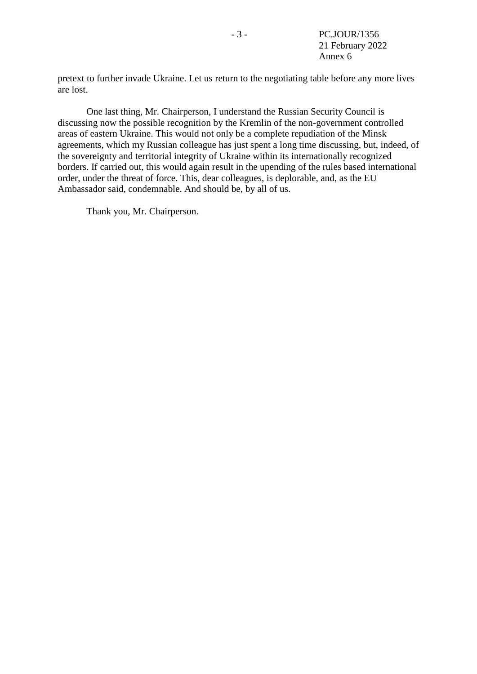pretext to further invade Ukraine. Let us return to the negotiating table before any more lives are lost.

One last thing, Mr. Chairperson, I understand the Russian Security Council is discussing now the possible recognition by the Kremlin of the non-government controlled areas of eastern Ukraine. This would not only be a complete repudiation of the Minsk agreements, which my Russian colleague has just spent a long time discussing, but, indeed, of the sovereignty and territorial integrity of Ukraine within its internationally recognized borders. If carried out, this would again result in the upending of the rules based international order, under the threat of force. This, dear colleagues, is deplorable, and, as the EU Ambassador said, condemnable. And should be, by all of us.

Thank you, Mr. Chairperson.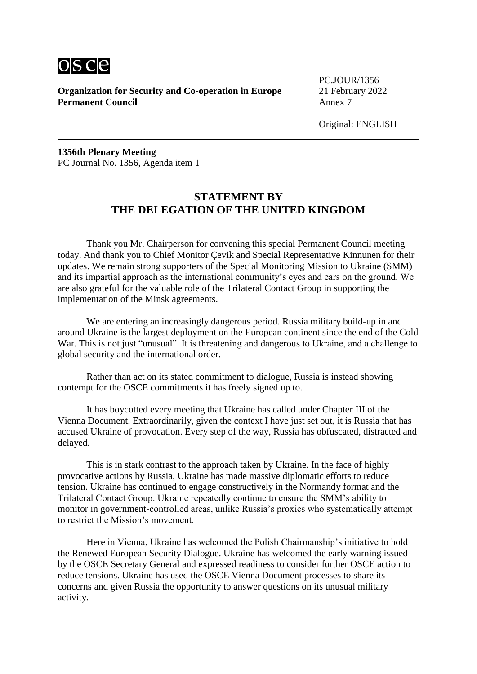

PC.JOUR/1356

Original: ENGLISH

**1356th Plenary Meeting** PC Journal No. 1356, Agenda item 1

## **STATEMENT BY THE DELEGATION OF THE UNITED KINGDOM**

Thank you Mr. Chairperson for convening this special Permanent Council meeting today. And thank you to Chief Monitor Çevik and Special Representative Kinnunen for their updates. We remain strong supporters of the Special Monitoring Mission to Ukraine (SMM) and its impartial approach as the international community's eyes and ears on the ground. We are also grateful for the valuable role of the Trilateral Contact Group in supporting the implementation of the Minsk agreements.

We are entering an increasingly dangerous period. Russia military build-up in and around Ukraine is the largest deployment on the European continent since the end of the Cold War. This is not just "unusual". It is threatening and dangerous to Ukraine, and a challenge to global security and the international order.

Rather than act on its stated commitment to dialogue, Russia is instead showing contempt for the OSCE commitments it has freely signed up to.

It has boycotted every meeting that Ukraine has called under Chapter III of the Vienna Document. Extraordinarily, given the context I have just set out, it is Russia that has accused Ukraine of provocation. Every step of the way, Russia has obfuscated, distracted and delayed.

This is in stark contrast to the approach taken by Ukraine. In the face of highly provocative actions by Russia, Ukraine has made massive diplomatic efforts to reduce tension. Ukraine has continued to engage constructively in the Normandy format and the Trilateral Contact Group. Ukraine repeatedly continue to ensure the SMM's ability to monitor in government-controlled areas, unlike Russia's proxies who systematically attempt to restrict the Mission's movement.

Here in Vienna, Ukraine has welcomed the Polish Chairmanship's initiative to hold the Renewed European Security Dialogue. Ukraine has welcomed the early warning issued by the OSCE Secretary General and expressed readiness to consider further OSCE action to reduce tensions. Ukraine has used the OSCE Vienna Document processes to share its concerns and given Russia the opportunity to answer questions on its unusual military activity.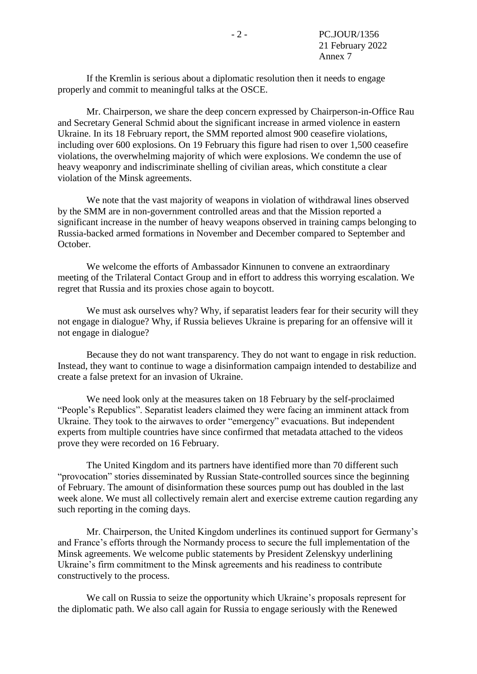If the Kremlin is serious about a diplomatic resolution then it needs to engage properly and commit to meaningful talks at the OSCE.

Mr. Chairperson, we share the deep concern expressed by Chairperson-in-Office Rau and Secretary General Schmid about the significant increase in armed violence in eastern Ukraine. In its 18 February report, the SMM reported almost 900 ceasefire violations, including over 600 explosions. On 19 February this figure had risen to over 1,500 ceasefire violations, the overwhelming majority of which were explosions. We condemn the use of heavy weaponry and indiscriminate shelling of civilian areas, which constitute a clear violation of the Minsk agreements.

We note that the vast majority of weapons in violation of withdrawal lines observed by the SMM are in non-government controlled areas and that the Mission reported a significant increase in the number of heavy weapons observed in training camps belonging to Russia-backed armed formations in November and December compared to September and October.

We welcome the efforts of Ambassador Kinnunen to convene an extraordinary meeting of the Trilateral Contact Group and in effort to address this worrying escalation. We regret that Russia and its proxies chose again to boycott.

We must ask ourselves why? Why, if separatist leaders fear for their security will they not engage in dialogue? Why, if Russia believes Ukraine is preparing for an offensive will it not engage in dialogue?

Because they do not want transparency. They do not want to engage in risk reduction. Instead, they want to continue to wage a disinformation campaign intended to destabilize and create a false pretext for an invasion of Ukraine.

We need look only at the measures taken on 18 February by the self-proclaimed "People's Republics". Separatist leaders claimed they were facing an imminent attack from Ukraine. They took to the airwaves to order "emergency" evacuations. But independent experts from multiple countries have since confirmed that metadata attached to the videos prove they were recorded on 16 February.

The United Kingdom and its partners have identified more than 70 different such "provocation" stories disseminated by Russian State-controlled sources since the beginning of February. The amount of disinformation these sources pump out has doubled in the last week alone. We must all collectively remain alert and exercise extreme caution regarding any such reporting in the coming days.

Mr. Chairperson, the United Kingdom underlines its continued support for Germany's and France's efforts through the Normandy process to secure the full implementation of the Minsk agreements. We welcome public statements by President Zelenskyy underlining Ukraine's firm commitment to the Minsk agreements and his readiness to contribute constructively to the process.

We call on Russia to seize the opportunity which Ukraine's proposals represent for the diplomatic path. We also call again for Russia to engage seriously with the Renewed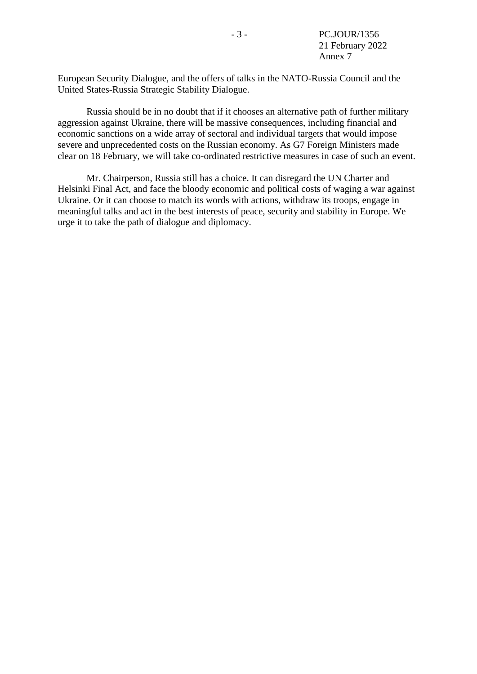European Security Dialogue, and the offers of talks in the NATO-Russia Council and the United States-Russia Strategic Stability Dialogue.

Russia should be in no doubt that if it chooses an alternative path of further military aggression against Ukraine, there will be massive consequences, including financial and economic sanctions on a wide array of sectoral and individual targets that would impose severe and unprecedented costs on the Russian economy. As G7 Foreign Ministers made clear on 18 February, we will take co-ordinated restrictive measures in case of such an event.

Mr. Chairperson, Russia still has a choice. It can disregard the UN Charter and Helsinki Final Act, and face the bloody economic and political costs of waging a war against Ukraine. Or it can choose to match its words with actions, withdraw its troops, engage in meaningful talks and act in the best interests of peace, security and stability in Europe. We urge it to take the path of dialogue and diplomacy.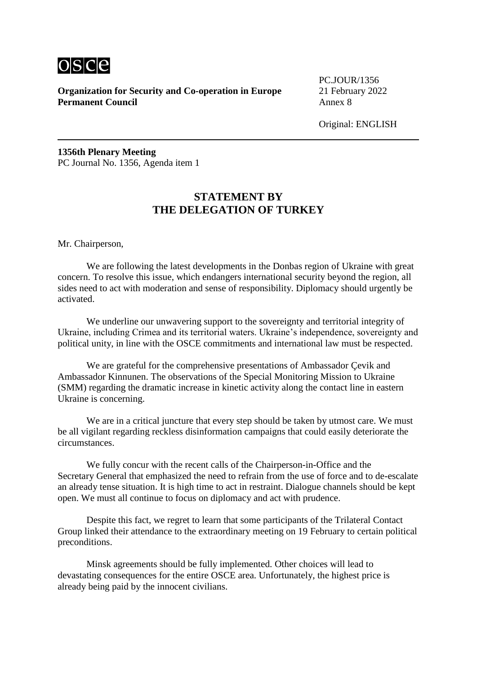

PC.JOUR/1356

Original: ENGLISH

**1356th Plenary Meeting** PC Journal No. 1356, Agenda item 1

# **STATEMENT BY THE DELEGATION OF TURKEY**

Mr. Chairperson,

We are following the latest developments in the Donbas region of Ukraine with great concern. To resolve this issue, which endangers international security beyond the region, all sides need to act with moderation and sense of responsibility. Diplomacy should urgently be activated.

We underline our unwavering support to the sovereignty and territorial integrity of Ukraine, including Crimea and its territorial waters. Ukraine's independence, sovereignty and political unity, in line with the OSCE commitments and international law must be respected.

We are grateful for the comprehensive presentations of Ambassador Çevik and Ambassador Kinnunen. The observations of the Special Monitoring Mission to Ukraine (SMM) regarding the dramatic increase in kinetic activity along the contact line in eastern Ukraine is concerning.

We are in a critical juncture that every step should be taken by utmost care. We must be all vigilant regarding reckless disinformation campaigns that could easily deteriorate the circumstances.

We fully concur with the recent calls of the Chairperson-in-Office and the Secretary General that emphasized the need to refrain from the use of force and to de-escalate an already tense situation. It is high time to act in restraint. Dialogue channels should be kept open. We must all continue to focus on diplomacy and act with prudence.

Despite this fact, we regret to learn that some participants of the Trilateral Contact Group linked their attendance to the extraordinary meeting on 19 February to certain political preconditions.

Minsk agreements should be fully implemented. Other choices will lead to devastating consequences for the entire OSCE area. Unfortunately, the highest price is already being paid by the innocent civilians.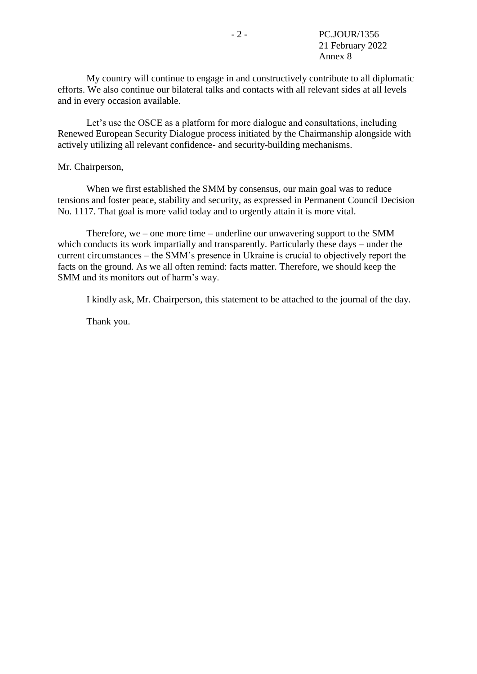My country will continue to engage in and constructively contribute to all diplomatic efforts. We also continue our bilateral talks and contacts with all relevant sides at all levels and in every occasion available.

Let's use the OSCE as a platform for more dialogue and consultations, including Renewed European Security Dialogue process initiated by the Chairmanship alongside with actively utilizing all relevant confidence- and security-building mechanisms.

#### Mr. Chairperson,

When we first established the SMM by consensus, our main goal was to reduce tensions and foster peace, stability and security, as expressed in Permanent Council Decision No. 1117. That goal is more valid today and to urgently attain it is more vital.

Therefore, we – one more time – underline our unwavering support to the SMM which conducts its work impartially and transparently. Particularly these days – under the current circumstances – the SMM's presence in Ukraine is crucial to objectively report the facts on the ground. As we all often remind: facts matter. Therefore, we should keep the SMM and its monitors out of harm's way.

I kindly ask, Mr. Chairperson, this statement to be attached to the journal of the day.

Thank you.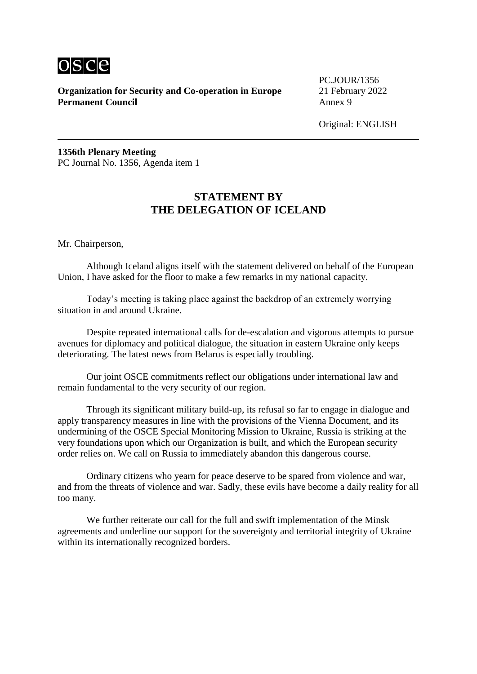

PC.JOUR/1356

Original: ENGLISH

**1356th Plenary Meeting** PC Journal No. 1356, Agenda item 1

# **STATEMENT BY THE DELEGATION OF ICELAND**

Mr. Chairperson,

Although Iceland aligns itself with the statement delivered on behalf of the European Union, I have asked for the floor to make a few remarks in my national capacity.

Today's meeting is taking place against the backdrop of an extremely worrying situation in and around Ukraine.

Despite repeated international calls for de-escalation and vigorous attempts to pursue avenues for diplomacy and political dialogue, the situation in eastern Ukraine only keeps deteriorating. The latest news from Belarus is especially troubling.

Our joint OSCE commitments reflect our obligations under international law and remain fundamental to the very security of our region.

Through its significant military build-up, its refusal so far to engage in dialogue and apply transparency measures in line with the provisions of the Vienna Document, and its undermining of the OSCE Special Monitoring Mission to Ukraine, Russia is striking at the very foundations upon which our Organization is built, and which the European security order relies on. We call on Russia to immediately abandon this dangerous course.

Ordinary citizens who yearn for peace deserve to be spared from violence and war, and from the threats of violence and war. Sadly, these evils have become a daily reality for all too many.

We further reiterate our call for the full and swift implementation of the Minsk agreements and underline our support for the sovereignty and territorial integrity of Ukraine within its internationally recognized borders.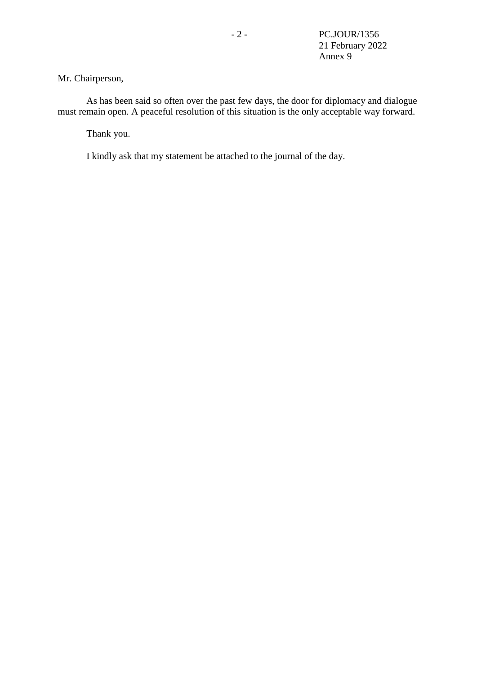### Mr. Chairperson,

As has been said so often over the past few days, the door for diplomacy and dialogue must remain open. A peaceful resolution of this situation is the only acceptable way forward.

Thank you.

I kindly ask that my statement be attached to the journal of the day.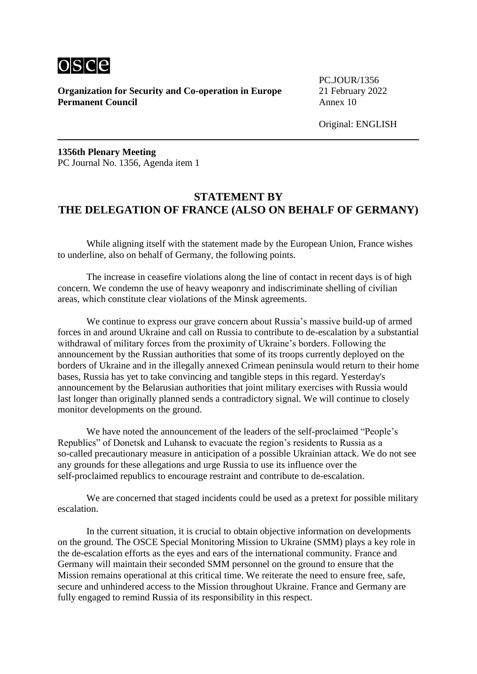

PC.JOUR/1356

Original: ENGLISH

**1356th Plenary Meeting** PC Journal No. 1356, Agenda item 1

# **STATEMENT BY THE DELEGATION OF FRANCE (ALSO ON BEHALF OF GERMANY)**

While aligning itself with the statement made by the European Union, France wishes to underline, also on behalf of Germany, the following points.

The increase in ceasefire violations along the line of contact in recent days is of high concern. We condemn the use of heavy weaponry and indiscriminate shelling of civilian areas, which constitute clear violations of the Minsk agreements.

We continue to express our grave concern about Russia's massive build-up of armed forces in and around Ukraine and call on Russia to contribute to de-escalation by a substantial withdrawal of military forces from the proximity of Ukraine's borders. Following the announcement by the Russian authorities that some of its troops currently deployed on the borders of Ukraine and in the illegally annexed Crimean peninsula would return to their home bases, Russia has yet to take convincing and tangible steps in this regard. Yesterday's announcement by the Belarusian authorities that joint military exercises with Russia would last longer than originally planned sends a contradictory signal. We will continue to closely monitor developments on the ground.

We have noted the announcement of the leaders of the self-proclaimed "People's Republics" of Donetsk and Luhansk to evacuate the region's residents to Russia as a so-called precautionary measure in anticipation of a possible Ukrainian attack. We do not see any grounds for these allegations and urge Russia to use its influence over the self-proclaimed republics to encourage restraint and contribute to de-escalation.

We are concerned that staged incidents could be used as a pretext for possible military escalation.

In the current situation, it is crucial to obtain objective information on developments on the ground. The OSCE Special Monitoring Mission to Ukraine (SMM) plays a key role in the de-escalation efforts as the eyes and ears of the international community. France and Germany will maintain their seconded SMM personnel on the ground to ensure that the Mission remains operational at this critical time. We reiterate the need to ensure free, safe, secure and unhindered access to the Mission throughout Ukraine. France and Germany are fully engaged to remind Russia of its responsibility in this respect.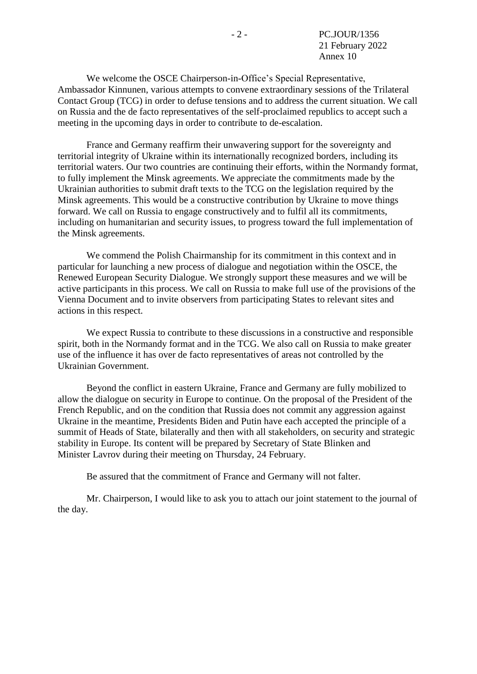We welcome the OSCE Chairperson-in-Office's Special Representative, Ambassador Kinnunen, various attempts to convene extraordinary sessions of the Trilateral Contact Group (TCG) in order to defuse tensions and to address the current situation. We call on Russia and the de facto representatives of the self-proclaimed republics to accept such a meeting in the upcoming days in order to contribute to de-escalation.

France and Germany reaffirm their unwavering support for the sovereignty and territorial integrity of Ukraine within its internationally recognized borders, including its territorial waters. Our two countries are continuing their efforts, within the Normandy format, to fully implement the Minsk agreements. We appreciate the commitments made by the Ukrainian authorities to submit draft texts to the TCG on the legislation required by the Minsk agreements. This would be a constructive contribution by Ukraine to move things forward. We call on Russia to engage constructively and to fulfil all its commitments, including on humanitarian and security issues, to progress toward the full implementation of the Minsk agreements.

We commend the Polish Chairmanship for its commitment in this context and in particular for launching a new process of dialogue and negotiation within the OSCE, the Renewed European Security Dialogue. We strongly support these measures and we will be active participants in this process. We call on Russia to make full use of the provisions of the Vienna Document and to invite observers from participating States to relevant sites and actions in this respect.

We expect Russia to contribute to these discussions in a constructive and responsible spirit, both in the Normandy format and in the TCG. We also call on Russia to make greater use of the influence it has over de facto representatives of areas not controlled by the Ukrainian Government.

Beyond the conflict in eastern Ukraine, France and Germany are fully mobilized to allow the dialogue on security in Europe to continue. On the proposal of the President of the French Republic, and on the condition that Russia does not commit any aggression against Ukraine in the meantime, Presidents Biden and Putin have each accepted the principle of a summit of Heads of State, bilaterally and then with all stakeholders, on security and strategic stability in Europe. Its content will be prepared by Secretary of State Blinken and Minister Lavrov during their meeting on Thursday, 24 February.

Be assured that the commitment of France and Germany will not falter.

Mr. Chairperson, I would like to ask you to attach our joint statement to the journal of the day.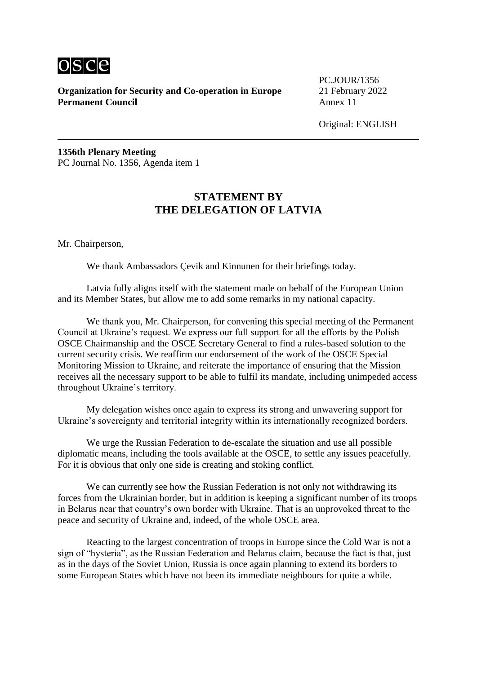

PC.JOUR/1356

Original: ENGLISH

**1356th Plenary Meeting** PC Journal No. 1356, Agenda item 1

# **STATEMENT BY THE DELEGATION OF LATVIA**

Mr. Chairperson,

We thank Ambassadors Çevik and Kinnunen for their briefings today.

Latvia fully aligns itself with the statement made on behalf of the European Union and its Member States, but allow me to add some remarks in my national capacity.

We thank you, Mr. Chairperson, for convening this special meeting of the Permanent Council at Ukraine's request. We express our full support for all the efforts by the Polish OSCE Chairmanship and the OSCE Secretary General to find a rules-based solution to the current security crisis. We reaffirm our endorsement of the work of the OSCE Special Monitoring Mission to Ukraine, and reiterate the importance of ensuring that the Mission receives all the necessary support to be able to fulfil its mandate, including unimpeded access throughout Ukraine's territory.

My delegation wishes once again to express its strong and unwavering support for Ukraine's sovereignty and territorial integrity within its internationally recognized borders.

We urge the Russian Federation to de-escalate the situation and use all possible diplomatic means, including the tools available at the OSCE, to settle any issues peacefully. For it is obvious that only one side is creating and stoking conflict.

We can currently see how the Russian Federation is not only not withdrawing its forces from the Ukrainian border, but in addition is keeping a significant number of its troops in Belarus near that country's own border with Ukraine. That is an unprovoked threat to the peace and security of Ukraine and, indeed, of the whole OSCE area.

Reacting to the largest concentration of troops in Europe since the Cold War is not a sign of "hysteria", as the Russian Federation and Belarus claim, because the fact is that, just as in the days of the Soviet Union, Russia is once again planning to extend its borders to some European States which have not been its immediate neighbours for quite a while.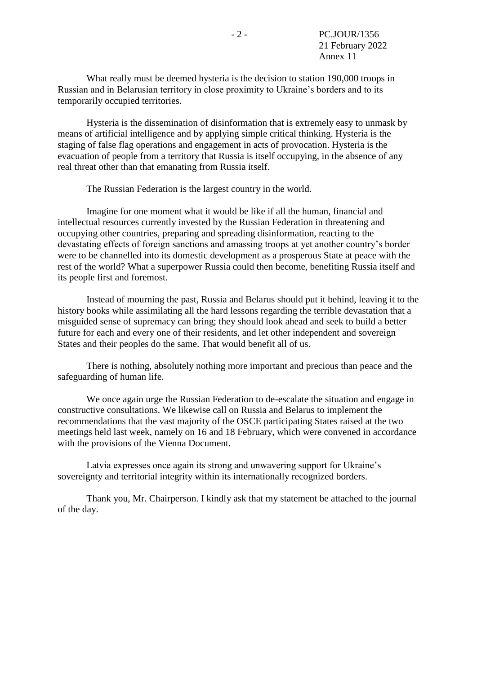What really must be deemed hysteria is the decision to station 190,000 troops in Russian and in Belarusian territory in close proximity to Ukraine's borders and to its temporarily occupied territories.

Hysteria is the dissemination of disinformation that is extremely easy to unmask by means of artificial intelligence and by applying simple critical thinking. Hysteria is the staging of false flag operations and engagement in acts of provocation. Hysteria is the evacuation of people from a territory that Russia is itself occupying, in the absence of any real threat other than that emanating from Russia itself.

The Russian Federation is the largest country in the world.

Imagine for one moment what it would be like if all the human, financial and intellectual resources currently invested by the Russian Federation in threatening and occupying other countries, preparing and spreading disinformation, reacting to the devastating effects of foreign sanctions and amassing troops at yet another country's border were to be channelled into its domestic development as a prosperous State at peace with the rest of the world? What a superpower Russia could then become, benefiting Russia itself and its people first and foremost.

Instead of mourning the past, Russia and Belarus should put it behind, leaving it to the history books while assimilating all the hard lessons regarding the terrible devastation that a misguided sense of supremacy can bring; they should look ahead and seek to build a better future for each and every one of their residents, and let other independent and sovereign States and their peoples do the same. That would benefit all of us.

There is nothing, absolutely nothing more important and precious than peace and the safeguarding of human life.

We once again urge the Russian Federation to de-escalate the situation and engage in constructive consultations. We likewise call on Russia and Belarus to implement the recommendations that the vast majority of the OSCE participating States raised at the two meetings held last week, namely on 16 and 18 February, which were convened in accordance with the provisions of the Vienna Document.

Latvia expresses once again its strong and unwavering support for Ukraine's sovereignty and territorial integrity within its internationally recognized borders.

Thank you, Mr. Chairperson. I kindly ask that my statement be attached to the journal of the day.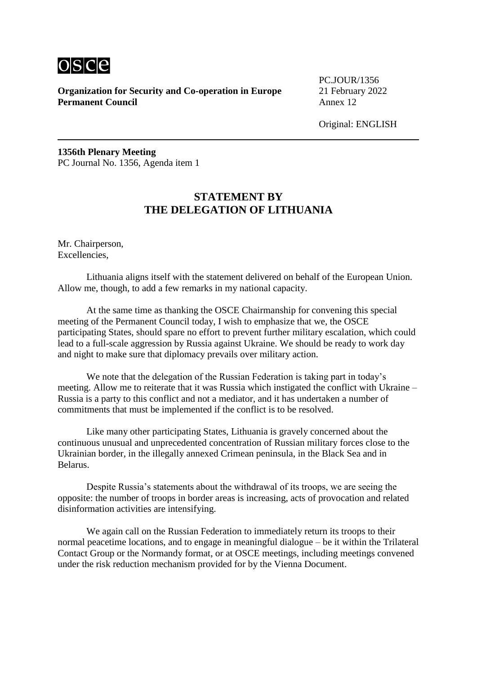

PC.JOUR/1356

Original: ENGLISH

**1356th Plenary Meeting** PC Journal No. 1356, Agenda item 1

# **STATEMENT BY THE DELEGATION OF LITHUANIA**

Mr. Chairperson, Excellencies,

Lithuania aligns itself with the statement delivered on behalf of the European Union. Allow me, though, to add a few remarks in my national capacity.

At the same time as thanking the OSCE Chairmanship for convening this special meeting of the Permanent Council today, I wish to emphasize that we, the OSCE participating States, should spare no effort to prevent further military escalation, which could lead to a full-scale aggression by Russia against Ukraine. We should be ready to work day and night to make sure that diplomacy prevails over military action.

We note that the delegation of the Russian Federation is taking part in today's meeting. Allow me to reiterate that it was Russia which instigated the conflict with Ukraine – Russia is a party to this conflict and not a mediator, and it has undertaken a number of commitments that must be implemented if the conflict is to be resolved.

Like many other participating States, Lithuania is gravely concerned about the continuous unusual and unprecedented concentration of Russian military forces close to the Ukrainian border, in the illegally annexed Crimean peninsula, in the Black Sea and in Belarus.

Despite Russia's statements about the withdrawal of its troops, we are seeing the opposite: the number of troops in border areas is increasing, acts of provocation and related disinformation activities are intensifying.

We again call on the Russian Federation to immediately return its troops to their normal peacetime locations, and to engage in meaningful dialogue – be it within the Trilateral Contact Group or the Normandy format, or at OSCE meetings, including meetings convened under the risk reduction mechanism provided for by the Vienna Document.